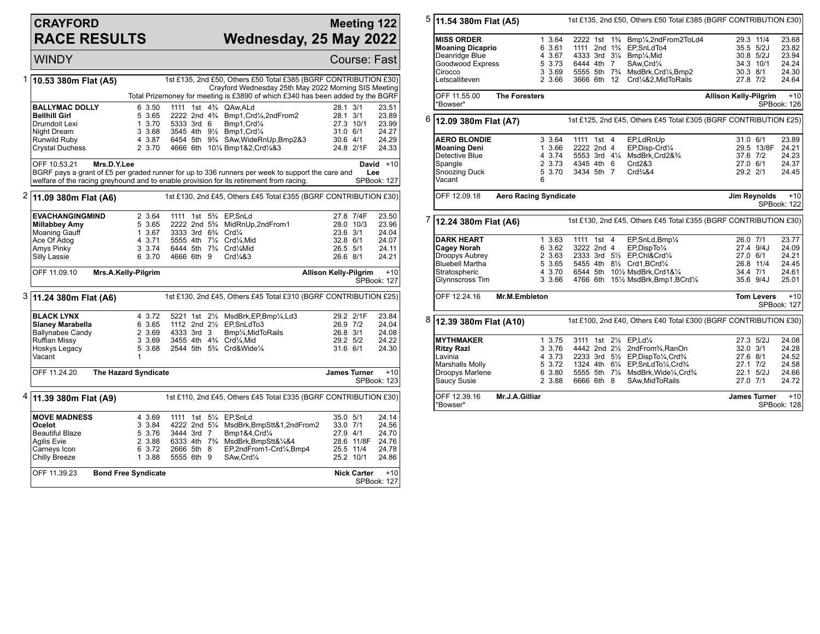## **CRAYFORD RACE RESULTS**

## **Meeting 122 Wednesday, 25 May 2022**

WINDY Course: Fast 1 **10.53 380m Flat (A5)** 1st £135, 2nd £50, Others £50 Total £385 (BGRF CONTRIBUTION £30) Crayford Wednesday 25th May 2022 Morning SIS Meeting Total Prizemoney for meeting is £3890 of which £340 has been added by the BGRF **BALLYMAC DOLLY** 6 3.50 1111 1st 4<sup>2</sup>/<sub>4</sub> QAw,ALd 28.1 3/1 23.51 23.51 23.51 23.51 23.51 23.89 **Bellhill Girl** 5 3.65 2222 2nd 4¾ Bmp1,Crd¼,2ndFrom2 28.1 3/1 23.89 Drumdoit Lexi 1 3.70 5333 3rd 6 Bmp1,Crd¼ 27.3 10/1 23.99 Night Dream 3 3.68 3545 4th 9<sup>1</sup>/<sub>2</sub> Bmp1,Crd<sup>1</sup>/<sub>4</sub> 31.0 6/1 24.27<br>Runwild Ruby 3 3.87 6454 5th 9<sup>3</sup>/<sub>4</sub> SAw.WideRnUp.Bmp2&3 30.6 4/1 24.29 Runwild Ruby 4 3.87 6454 5th 9¾ SAw,WideRnUp,Bmp2&3 30.6 4/1 24.29 4666 6th 10¼ Bmp1&2,Crd¼&3 OFF 10.53.21 **Mrs.D.Y.Lee** BGRF pays a grant of £5 per graded runner for up to 336 runners per week to support the care and welfare of the racing greyhound and to enable provision for its retirement from racing. **David** +10 **Lee** SPBook: 127 2 **11.09 380m Flat (A6)** 1st £130, 2nd £45, Others £45 Total £355 (BGRF CONTRIBUTION £30) **EVACHANGINGMIND** 2 3.64 1111 1st 5<sup>3</sup>/<sub>4</sub> EP,SnLd 27.8 7/4F 23.50<br> **Millabbey Amy** 5 3.65 2222 2nd 5<sup>3</sup>/<sub>4</sub> MidRnUp,2ndFrom1 28.0 10/3 23.96 **Millabbey Amy** 5 3.65 2222 2nd 5<sup>3</sup>/<sub>4</sub> MidRnUp,2ndFrom1 28.0 10/3 23.96<br>Moaning Gauff 1 3.67 3333 3rd 6<sup>3</sup>/<sub>4</sub> Crd<sup>1</sup>/<sub>4</sub> 23.6 3/1 24.04<br>Ace Of Adog 4 3.71 5555 4th 7<sup>1</sup>/<sub>4</sub> Crd<sup>1</sup>/<sub>4</sub>,Mid 32.8 6/1 24.07 1 3333 3rd 6¾ Crd¼ 23.6 3/1 24.04<br>1 32.8 6/1 24.07 5555 4th 7¼ Crd¼ Mid Ace Of Adog 4 3.71 5555 4th 7¼ Crd¼,Mid 32.8 6/1 24.07 Amys Pinky 3 3.74 6444 5th 7¾ Crd¼Mid 26.5 5/1 24.11 4666 6th 9 OFF 11.09.10 **Mrs.A.Kelly-Pilgrim Allison Kelly-Pilgrim** +10 SPBook: 127 3 **11.24 380m Flat (A6)** 1st £130, 2nd £45, Others £45 Total £310 (BGRF CONTRIBUTION £25) **BLACK LYNX** 4 3.72 5221 1st 2½ MsdBrk,EP,Bmp¼,Ld3 29.2 2/1F 23.84 **Slaney Marabella** 6 3.65 1112 2nd 2½ EP,SnLdTo3  $\begin{array}{l} \text{Slaney Marabella} \\ \text{Ballynabee Candy} \end{array}$  2 3.69 4333 3rd 3  $\begin{array}{l} \text{Bmy/4,MidToRails} \end{array}$  26.8 3/1 24.08 Ballynabee Candy 2 3.69 4333 3rd 3 Bmp¼,MidToRails 26.8 3/1 24.08 Ruffian Missy 3 3.69 3455 4th 4¾ Crd¼,Mid 29.2 5/2 24.22 5 3.68 2544 5th 5<sup>3</sup>/<sub>4</sub> Crd&Wide<sup>1</sup>/<sub>4</sub> Vacant OFF 11.24.20 **The Hazard Syndicate James Turner** +10 SPBook: 123 4 **11.39 380m Flat (A9)** 1st £110, 2nd £45, Others £45 Total £335 (BGRF CONTRIBUTION £30) **MOVE MADNESS** 4 3.69 1111 1st 5<sup>1</sup>/<sub>4</sub> EP, SnLd 35.0 5/1 24.14<br> **Ocelot** 3 3.84 4222 2nd 5<sup>1</sup>/<sub>4</sub> MsdBrk.BmpStt&1.2ndFrom2 33.0 7/1 24.56 **Ocelot** 3 3.84 4222 2nd 5¼ MsdBrk,BmpStt&1,2ndFrom2 33.0 7/1 24.56 Beautiful Blaze 5 3.76 3444 3rd 7 Bmp1&4,Crd¼ 27.9 4/1 24.70 Agilis Evie 2 3.88 6333 4th 7¾ MsdBrk,BmpStt&¼&4 28.6 11/8F 24.76 Carneys Icon 6 3.72 2666 5th 8 EP,2ndFrom1-Crd¼,Bmp4 25.5 11/4 24.78 Chilly Breeze OFF 11.39.23 **Bond Free Syndicate Nick Carter** +10 SPBook: 127

5 **11.54 380m Flat (A5)** 1st £135, 2nd £50, Others £50 Total £385 (BGRF CONTRIBUTION £30) **MISS ORDER** 1 3.64 2222 1st 1<sup>3</sup>/<sub>4</sub> Bmp<sup>1</sup>/<sub>4</sub>,2ndFrom2ToLd4 29.3 11/4 23.68<br> **Moaning Dicaprio** 6 3.61 1111 2nd 1<sup>3</sup>/<sub>4</sub> EP,SnLdTo4 35.5 5/2J 23.82 **Moaning Dicaprio** 6 3.61 1111 2nd 1<sup>3</sup>/<sub>4</sub> EP,SnLdTo4 35.5 5/2J 23.82<br>Deanridge Blue 4 3.67 4333 3rd 3<sup>1</sup>/<sub>4</sub> Bmp<sup>1</sup>/<sub>4</sub>,Mid 30.8 5/2J 23.94 4 3.67 4333 3rd 31/<sub>4</sub> Bmp<sup>1</sup>/<sub>4</sub>,Mid 30.8 5/2J 23.94<br>5 3.73 6444 4th 7 SAw.Crd<sup>1</sup>/<sub>4</sub> 34.3 10/1 24.24 Goodwood Express 5 3.73 6444 4th 7 SAw,Crd¼ 34.3 10/1 24.24 Cirocco 3 3.69 5555 5th 7¾ MsdBrk,Crd¼,Bmp2 30.3 8/1 24.30 3666 6th 12 Crd¼&2,MidToRails OFF 11.55.00 **The Foresters** \*Bowser\* **Allison Kelly-Pilgrim** +10 SPBook: 126 6 **12.09 380m Flat (A7)** 1st £125, 2nd £45, Others £45 Total £305 (BGRF CONTRIBUTION £25) **AERO BLONDIE** 3 3.64 1111 1st 4 EP,LdRnUp 31.0 6/1 23.89<br>**Moaning Deni** 3 3.66 2222 2nd 4 EP,Disp-Crd¼ 29.5 13/8F 24.21 **Moaning Deni** 1 3.66 2222 2nd 4 EP,Disp-Crd¼ 29.5 13/8F 24.21<br>Detective Blue 4 3.74 5553 3rd 4¼ MsdBrk.Crd2&¾ 37.6 7/2 24.23 Detective Blue 4 3.74 5553 3rd 4¼ MsdBrk,Crd2&¾ 37.6 7/2 24.23 Spangle 2 3.73 4345 4th 6 Crd2&3 27.0 6/1 24.37 Snoozing Duck 5 3.70 3434 5th 7 Crd¾&4 29.2 2/1 24.45 Vacant OFF 12.09.18 **Aero Racing Syndicate Jim Reynolds** +10 SPBook: 122 7 **12.24 380m Flat (A6)** 1st £130, 2nd £45, Others £45 Total £355 (BGRF CONTRIBUTION £30) **DARK HEART** 1 3.63 1111 1st 4 EP,SnLd,Bmp¼ 26.0 7/1 23.77<br> **Cagey Norah** 6 3.62 3222 2nd 4 EP,DispTo¼ 27.4 9/4J 24.09 **Cagey Norah** 6 3.62 3222 2nd 4 EP,DispTo¼ 27.4 9/4J 24.09 Droopys Aubrey 2 3.63 2333 3rd 5½ EP,Chl&Crd¼ 27.0 6/1 24.21 Bluebell Martha 5 3.65 5455 4th 8½ Crd1,BCrd¼ 26.8 11/4 24.45 Stratospheric **4 3.70 6544 5th 101/<sub>2</sub> MsdBrk,Crd1&1/4** 34.4 7/1 24.61<br>Glynnscross Tim 3 3.66 4766 6th 151/<sub>2</sub> MsdBrk,Bmp1,BCrd1/<sub>4</sub> 35.6 9/4J 25.01 4766 6th 151/2 MsdBrk,Bmp1,BCrd1/4 OFF 12.24.16 **Mr.M.Embleton Tom Levers** +10 SPBook: 127 8 **12.39 380m Flat (A10)** 1st £100, 2nd £40, Others £40 Total £300 (BGRF CONTRIBUTION £30) **MYTHMAKER** 1 3.75 3111 1st 2<sup>1</sup>/<sub>2</sub> EP,Ld<sup>1</sup>/<sub>4</sub> 27.3 5/2J 24.08<br>**Ritzv Razl 3 3.76 4442 2nd 2<sup>1</sup>/<sub>2</sub> 2nd From<sup>3</sup>/<sub>4</sub> RanOn 32.0 3/1 24.28 Ritzy Razl** 3 3.76 4442 2nd 2½ 2ndFrom¾,RanOn 32.0 3/1 24.28 Lavinia 4 3.73 2233 3rd 5½ EP,DispTo¼,Crd¾ 27.6 8/1 24.52 Marshalls Molly 5 3.72 1324 4th 6¼ EP,SnLdTo¼,Crd¾ 27.1 7/2 24.58 Droopys Marlene 6 3.80 5555 5th 7¼ MsdBrk,Wide¼,Crd¾ 22.1 5/2J 24.66 6666 6th 8 SAw,MidToRails OFF 12.39.16 **Mr.J.A.Gilliar** \*Bowser\* **James Turner** +10 SPBook: 128